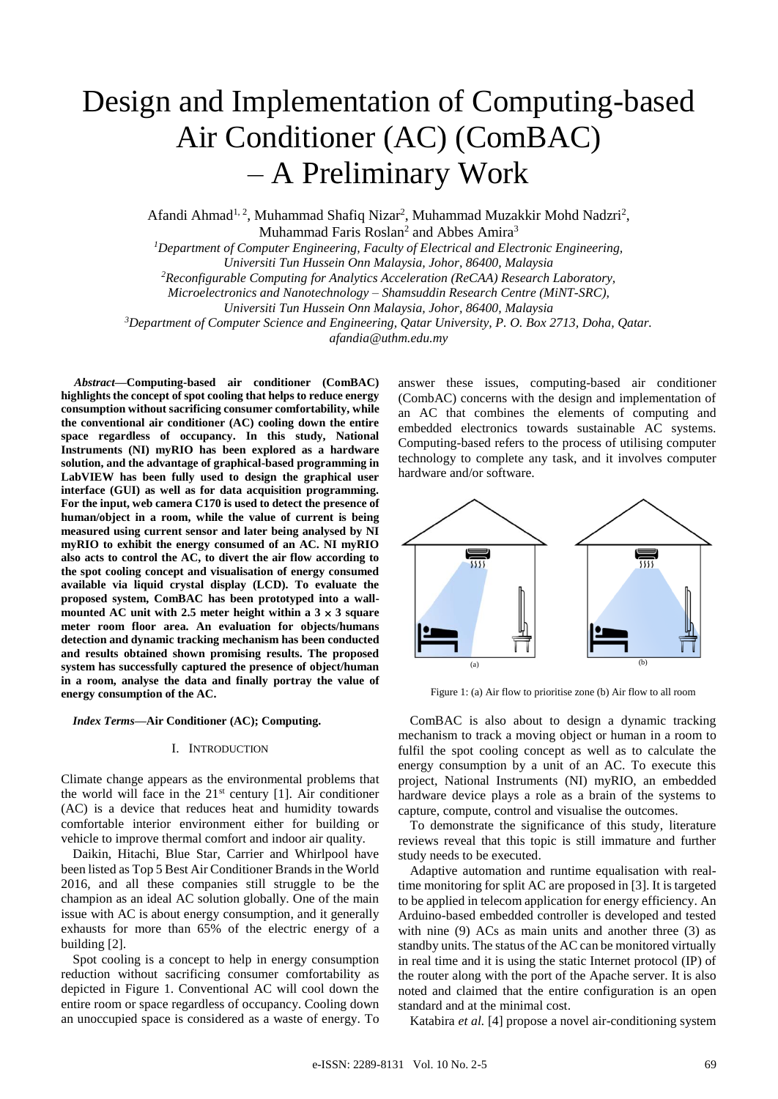# Design and Implementation of Computing-based Air Conditioner (AC) (ComBAC) – A Preliminary Work

Afandi Ahmad<sup>1, 2</sup>, Muhammad Shafiq Nizar<sup>2</sup>, Muhammad Muzakkir Mohd Nadzri<sup>2</sup>, Muhammad Faris Roslan<sup>2</sup> and Abbes Amira<sup>3</sup>

*<sup>1</sup>Department of Computer Engineering, Faculty of Electrical and Electronic Engineering, Universiti Tun Hussein Onn Malaysia, Johor, 86400, Malaysia <sup>2</sup>Reconfigurable Computing for Analytics Acceleration (ReCAA) Research Laboratory, Microelectronics and Nanotechnology – Shamsuddin Research Centre (MiNT-SRC), Universiti Tun Hussein Onn Malaysia, Johor, 86400, Malaysia <sup>3</sup>Department of Computer Science and Engineering, Qatar University, P. O. Box 2713, Doha, Qatar.*

*afandia@uthm.edu.my* 

*Abstract***—Computing-based air conditioner (ComBAC) highlights the concept of spot cooling that helps to reduce energy consumption without sacrificing consumer comfortability, while the conventional air conditioner (AC) cooling down the entire space regardless of occupancy. In this study, National Instruments (NI) myRIO has been explored as a hardware solution, and the advantage of graphical-based programming in LabVIEW has been fully used to design the graphical user interface (GUI) as well as for data acquisition programming. For the input, web camera C170 is used to detect the presence of human/object in a room, while the value of current is being measured using current sensor and later being analysed by NI myRIO to exhibit the energy consumed of an AC. NI myRIO also acts to control the AC, to divert the air flow according to the spot cooling concept and visualisation of energy consumed available via liquid crystal display (LCD). To evaluate the proposed system, ComBAC has been prototyped into a wallmounted AC unit with 2.5 meter height within a**  $3 \times 3$  **square meter room floor area. An evaluation for objects/humans detection and dynamic tracking mechanism has been conducted and results obtained shown promising results. The proposed system has successfully captured the presence of object/human in a room, analyse the data and finally portray the value of energy consumption of the AC.** 

*Index Terms***—Air Conditioner (AC); Computing.**

## I. INTRODUCTION

Climate change appears as the environmental problems that the world will face in the  $21<sup>st</sup>$  century [1]. Air conditioner (AC) is a device that reduces heat and humidity towards comfortable interior environment either for building or vehicle to improve thermal comfort and indoor air quality.

Daikin, Hitachi, Blue Star, Carrier and Whirlpool have been listed as Top 5 Best Air Conditioner Brands in the World 2016, and all these companies still struggle to be the champion as an ideal AC solution globally. One of the main issue with AC is about energy consumption, and it generally exhausts for more than 65% of the electric energy of a building [2].

Spot cooling is a concept to help in energy consumption reduction without sacrificing consumer comfortability as depicted in Figure 1. Conventional AC will cool down the entire room or space regardless of occupancy. Cooling down an unoccupied space is considered as a waste of energy. To

answer these issues, computing-based air conditioner (CombAC) concerns with the design and implementation of an AC that combines the elements of computing and embedded electronics towards sustainable AC systems. Computing-based refers to the process of utilising computer technology to complete any task, and it involves computer hardware and/or software.



Figure 1: (a) Air flow to prioritise zone (b) Air flow to all room

ComBAC is also about to design a dynamic tracking mechanism to track a moving object or human in a room to fulfil the spot cooling concept as well as to calculate the energy consumption by a unit of an AC. To execute this project, National Instruments (NI) myRIO, an embedded hardware device plays a role as a brain of the systems to capture, compute, control and visualise the outcomes.

To demonstrate the significance of this study, literature reviews reveal that this topic is still immature and further study needs to be executed.

Adaptive automation and runtime equalisation with realtime monitoring for split AC are proposed in [3]. It is targeted to be applied in telecom application for energy efficiency. An Arduino-based embedded controller is developed and tested with nine (9) ACs as main units and another three (3) as standby units. The status of the AC can be monitored virtually in real time and it is using the static Internet protocol (IP) of the router along with the port of the Apache server. It is also noted and claimed that the entire configuration is an open standard and at the minimal cost.

Katabira *et al.* [4] propose a novel air-conditioning system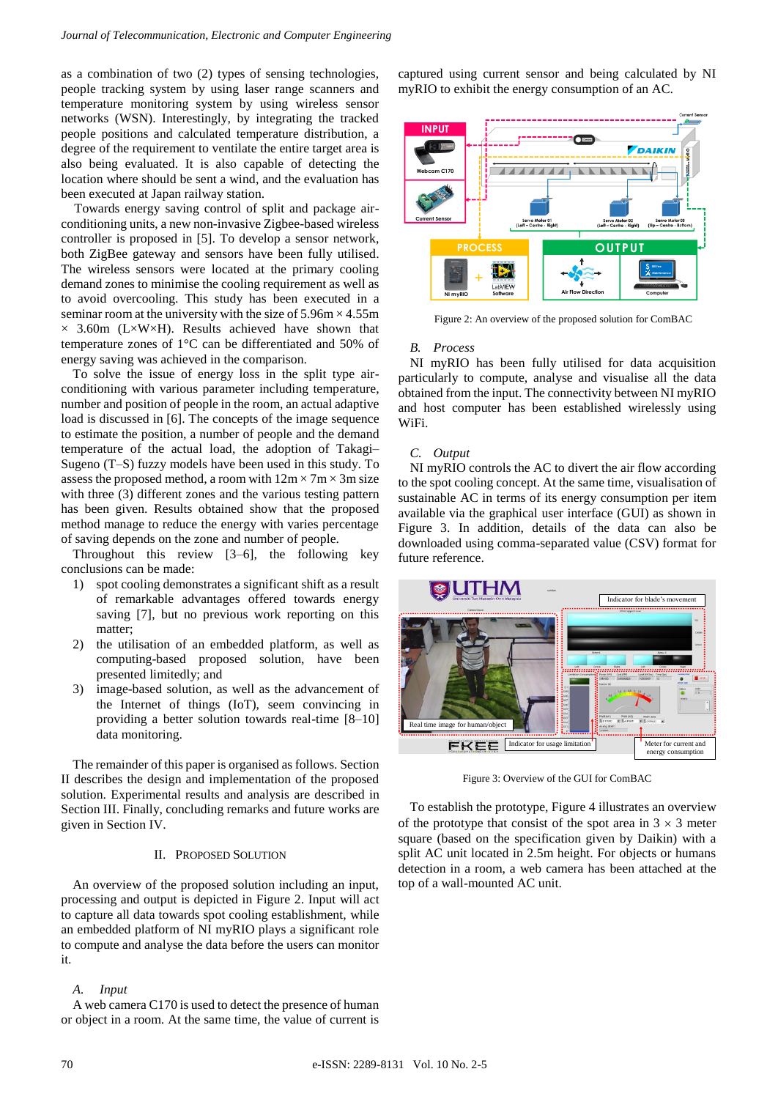as a combination of two (2) types of sensing technologies, people tracking system by using laser range scanners and temperature monitoring system by using wireless sensor networks (WSN). Interestingly, by integrating the tracked people positions and calculated temperature distribution, a degree of the requirement to ventilate the entire target area is also being evaluated. It is also capable of detecting the location where should be sent a wind, and the evaluation has been executed at Japan railway station.

Towards energy saving control of split and package airconditioning units, a new non-invasive Zigbee-based wireless controller is proposed in [5]. To develop a sensor network, both ZigBee gateway and sensors have been fully utilised. The wireless sensors were located at the primary cooling demand zones to minimise the cooling requirement as well as to avoid overcooling. This study has been executed in a seminar room at the university with the size of  $5.96 \text{m} \times 4.55 \text{m}$  $\times$  3.60m (L $\times$ W $\times$ H). Results achieved have shown that temperature zones of 1°C can be differentiated and 50% of energy saving was achieved in the comparison.

To solve the issue of energy loss in the split type airconditioning with various parameter including temperature, number and position of people in the room, an actual adaptive load is discussed in [6]. The concepts of the image sequence to estimate the position, a number of people and the demand temperature of the actual load, the adoption of Takagi– Sugeno (T–S) fuzzy models have been used in this study. To assess the proposed method, a room with  $12m \times 7m \times 3m$  size with three (3) different zones and the various testing pattern has been given. Results obtained show that the proposed method manage to reduce the energy with varies percentage of saving depends on the zone and number of people.

Throughout this review [3–6], the following key conclusions can be made:

- 1) spot cooling demonstrates a significant shift as a result of remarkable advantages offered towards energy saving [7], but no previous work reporting on this matter;
- 2) the utilisation of an embedded platform, as well as computing-based proposed solution, have been presented limitedly; and
- 3) image-based solution, as well as the advancement of the Internet of things (IoT), seem convincing in providing a better solution towards real-time [8–10] data monitoring.

The remainder of this paper is organised as follows. Section II describes the design and implementation of the proposed solution. Experimental results and analysis are described in Section III. Finally, concluding remarks and future works are given in Section IV.

# II. PROPOSED SOLUTION

An overview of the proposed solution including an input, processing and output is depicted in Figure 2. Input will act to capture all data towards spot cooling establishment, while an embedded platform of NI myRIO plays a significant role to compute and analyse the data before the users can monitor it.

#### *A. Input*

A web camera C170 is used to detect the presence of human or object in a room. At the same time, the value of current is captured using current sensor and being calculated by NI myRIO to exhibit the energy consumption of an AC.



Figure 2: An overview of the proposed solution for ComBAC

## *B. Process*

NI myRIO has been fully utilised for data acquisition particularly to compute, analyse and visualise all the data obtained from the input. The connectivity between NI myRIO and host computer has been established wirelessly using WiFi.

# *C. Output*

NI myRIO controls the AC to divert the air flow according to the spot cooling concept. At the same time, visualisation of sustainable AC in terms of its energy consumption per item available via the graphical user interface (GUI) as shown in Figure 3. In addition, details of the data can also be downloaded using comma-separated value (CSV) format for future reference.



Figure 3: Overview of the GUI for ComBAC

To establish the prototype, Figure 4 illustrates an overview of the prototype that consist of the spot area in  $3 \times 3$  meter square (based on the specification given by Daikin) with a split AC unit located in 2.5m height. For objects or humans detection in a room, a web camera has been attached at the top of a wall-mounted AC unit.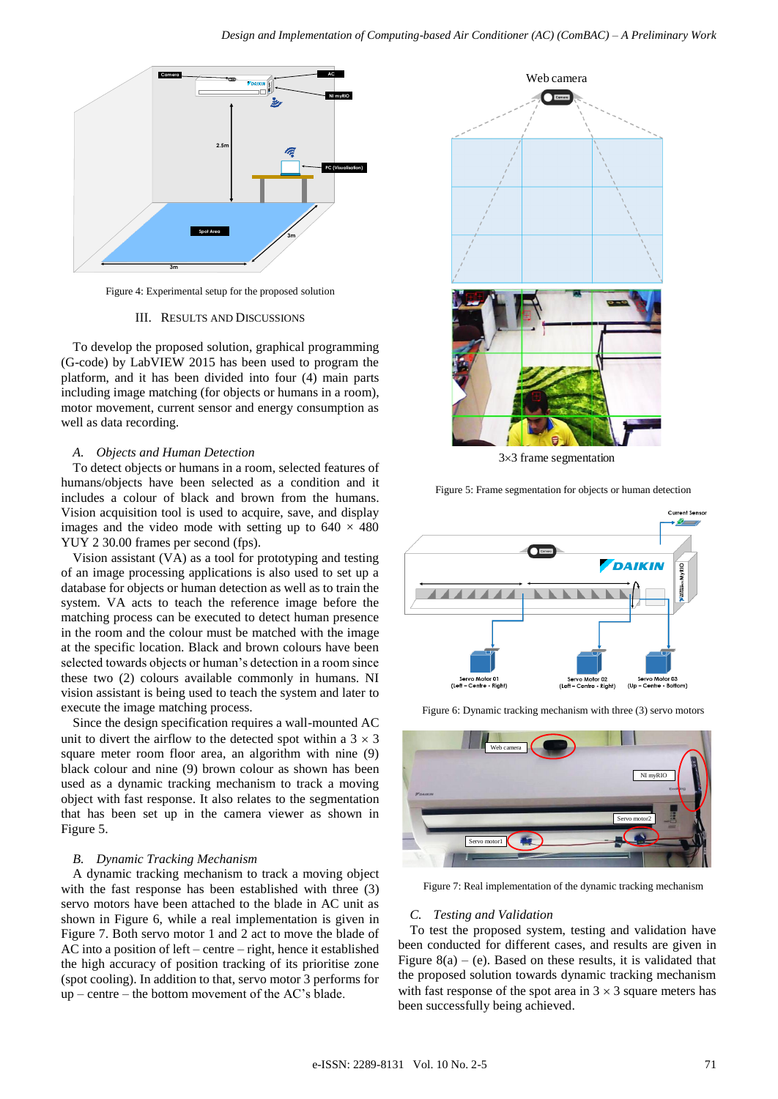

Figure 4: Experimental setup for the proposed solution

#### III. RESULTS AND DISCUSSIONS

To develop the proposed solution, graphical programming (G-code) by LabVIEW 2015 has been used to program the platform, and it has been divided into four (4) main parts including image matching (for objects or humans in a room), motor movement, current sensor and energy consumption as well as data recording.

## *A. Objects and Human Detection*

To detect objects or humans in a room, selected features of humans/objects have been selected as a condition and it includes a colour of black and brown from the humans. Vision acquisition tool is used to acquire, save, and display images and the video mode with setting up to  $640 \times 480$ YUY 2 30.00 frames per second (fps).

Vision assistant (VA) as a tool for prototyping and testing of an image processing applications is also used to set up a database for objects or human detection as well as to train the system. VA acts to teach the reference image before the matching process can be executed to detect human presence in the room and the colour must be matched with the image at the specific location. Black and brown colours have been selected towards objects or human's detection in a room since these two (2) colours available commonly in humans. NI vision assistant is being used to teach the system and later to execute the image matching process.

Since the design specification requires a wall-mounted AC unit to divert the airflow to the detected spot within a  $3 \times 3$ square meter room floor area, an algorithm with nine (9) black colour and nine (9) brown colour as shown has been used as a dynamic tracking mechanism to track a moving object with fast response. It also relates to the segmentation that has been set up in the camera viewer as shown in Figure 5.

#### *B. Dynamic Tracking Mechanism*

A dynamic tracking mechanism to track a moving object with the fast response has been established with three (3) servo motors have been attached to the blade in AC unit as shown in Figure 6, while a real implementation is given in Figure 7. Both servo motor 1 and 2 act to move the blade of AC into a position of left – centre – right, hence it established the high accuracy of position tracking of its prioritise zone (spot cooling). In addition to that, servo motor 3 performs for up – centre – the bottom movement of the AC's blade.



33 frame segmentation

Figure 5: Frame segmentation for objects or human detection





Figure 6: Dynamic tracking mechanism with three (3) servo motors

Figure 7: Real implementation of the dynamic tracking mechanism

#### *C. Testing and Validation*

To test the proposed system, testing and validation have been conducted for different cases, and results are given in Figure  $8(a) - (e)$ . Based on these results, it is validated that the proposed solution towards dynamic tracking mechanism with fast response of the spot area in  $3 \times 3$  square meters has been successfully being achieved.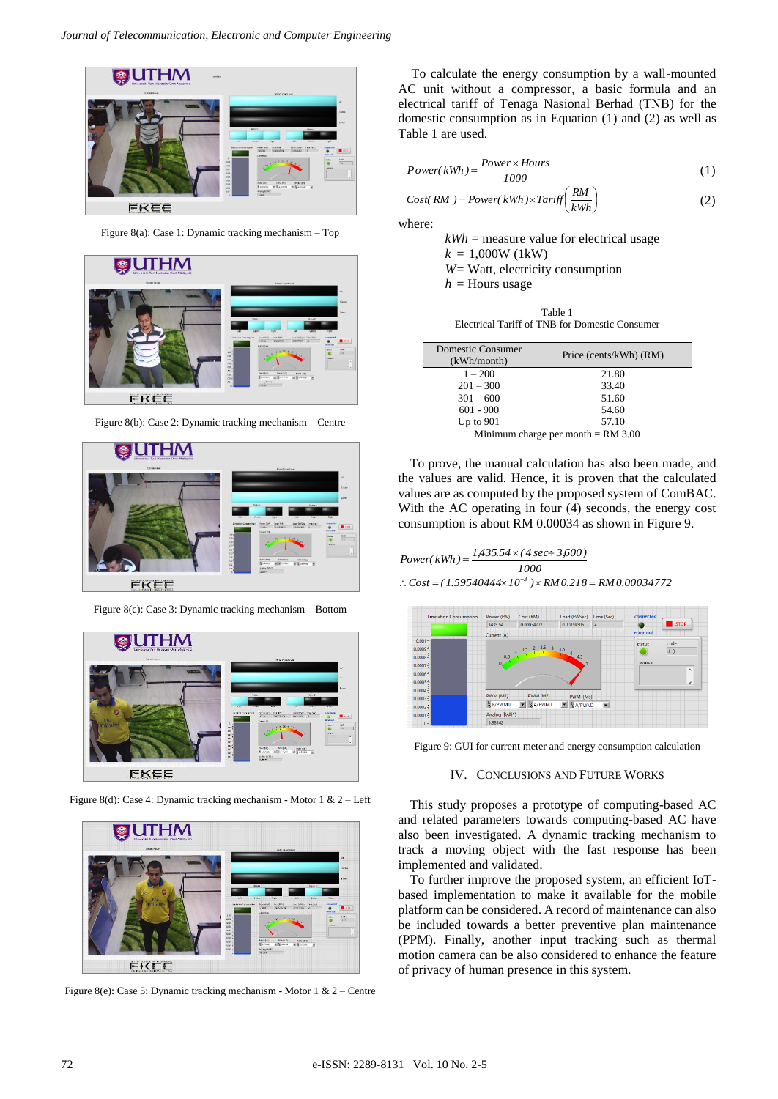

Figure 8(a): Case 1: Dynamic tracking mechanism – Top



Figure 8(b): Case 2: Dynamic tracking mechanism – Centre



Figure 8(c): Case 3: Dynamic tracking mechanism – Bottom



Figure 8(d): Case 4: Dynamic tracking mechanism - Motor 1 & 2 – Left



Figure 8(e): Case 5: Dynamic tracking mechanism - Motor 1 & 2 – Centre

To calculate the energy consumption by a wall-mounted AC unit without a compressor, a basic formula and an electrical tariff of Tenaga Nasional Berhad (TNB) for the domestic consumption as in Equation (1) and (2) as well as Table 1 are used.

$$
Power(kWh) = \frac{Power \times Hours}{1000} \tag{1}
$$

$$
Cost(RM) = Power(kWh) \times Tariff\left(\frac{RM}{kWh}\right) \tag{2}
$$

where:

 $kWh$  = measure value for electrical usage  $k = 1,000W(1kW)$ *W*= Watt, electricity consumption  $h =$  Hours usage

Table 1 Electrical Tariff of TNB for Domestic Consumer

| <b>Domestic Consumer</b><br>(kWh/month) | Price (cents/kWh) (RM) |
|-----------------------------------------|------------------------|
| $1 - 200$                               | 21.80                  |
| $201 - 300$                             | 33.40                  |
| $301 - 600$                             | 51.60                  |
| $601 - 900$                             | 54.60                  |
| Up to $901$                             | 57.10                  |
| Minimum charge per month $= RM 3.00$    |                        |

To prove, the manual calculation has also been made, and the values are valid. Hence, it is proven that the calculated values are as computed by the proposed system of ComBAC. With the AC operating in four (4) seconds, the energy cost consumption is about RM 0.00034 as shown in Figure 9.

$$
Power(kWh) = \frac{1,435.54 \times (4 \sec \div 3,600)}{1000}
$$

 $\therefore$  *Cost* = (1.59540444×10<sup>-3</sup>)× RM 0.218 = RM 0.00034772



Figure 9: GUI for current meter and energy consumption calculation

## IV. CONCLUSIONS AND FUTURE WORKS

This study proposes a prototype of computing-based AC and related parameters towards computing-based AC have also been investigated. A dynamic tracking mechanism to track a moving object with the fast response has been implemented and validated.

To further improve the proposed system, an efficient IoTbased implementation to make it available for the mobile platform can be considered. A record of maintenance can also be included towards a better preventive plan maintenance (PPM). Finally, another input tracking such as thermal motion camera can be also considered to enhance the feature of privacy of human presence in this system.